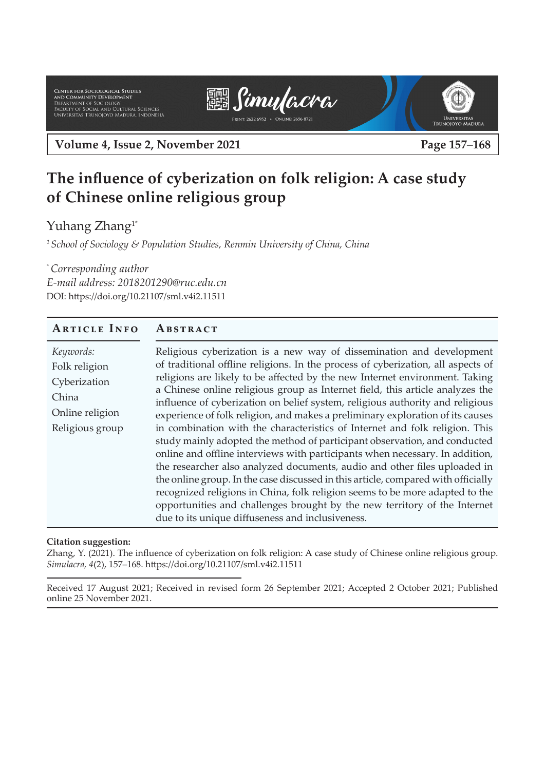Center for Sociological Studies<br>And Community Development<br>Department of Sociology<br>Faculty of Social and Cultural Sciences<br>Universitas Trunojoyo Madura, Indonesia





**Volume 4, Issue 2, November 2021 Page 157**–**168**

# **The influence of cyberization on folk religion: A case study of Chinese online religious group**

Yuhang Zhang<sup>1\*</sup>

*1 School of Sociology & Population Studies, Renmin University of China, China*

\* *Corresponding author E-mail address: 2018201290@ruc.edu.cn* DOI: https://doi.org/10.21107/sml.v4i2.11511

### **Article Info Abstract**

| Keywords:<br>Religious cyberization is a new way of dissemination and development<br>of traditional offline religions. In the process of cyberization, all aspects of<br>Folk religion<br>religions are likely to be affected by the new Internet environment. Taking<br>Cyberization<br>a Chinese online religious group as Internet field, this article analyzes the<br>China<br>influence of cyberization on belief system, religious authority and religious<br>Online religion<br>experience of folk religion, and makes a preliminary exploration of its causes<br>in combination with the characteristics of Internet and folk religion. This<br>Religious group<br>study mainly adopted the method of participant observation, and conducted<br>online and offline interviews with participants when necessary. In addition,<br>the researcher also analyzed documents, audio and other files uploaded in<br>the online group. In the case discussed in this article, compared with officially<br>recognized religions in China, folk religion seems to be more adapted to the<br>opportunities and challenges brought by the new territory of the Internet<br>due to its unique diffuseness and inclusiveness. |
|-------------------------------------------------------------------------------------------------------------------------------------------------------------------------------------------------------------------------------------------------------------------------------------------------------------------------------------------------------------------------------------------------------------------------------------------------------------------------------------------------------------------------------------------------------------------------------------------------------------------------------------------------------------------------------------------------------------------------------------------------------------------------------------------------------------------------------------------------------------------------------------------------------------------------------------------------------------------------------------------------------------------------------------------------------------------------------------------------------------------------------------------------------------------------------------------------------------------------|
|-------------------------------------------------------------------------------------------------------------------------------------------------------------------------------------------------------------------------------------------------------------------------------------------------------------------------------------------------------------------------------------------------------------------------------------------------------------------------------------------------------------------------------------------------------------------------------------------------------------------------------------------------------------------------------------------------------------------------------------------------------------------------------------------------------------------------------------------------------------------------------------------------------------------------------------------------------------------------------------------------------------------------------------------------------------------------------------------------------------------------------------------------------------------------------------------------------------------------|

#### **Citation suggestion:**

Zhang, Y. (2021). The influence of cyberization on folk religion: A case study of Chinese online religious group. *Simulacra, 4*(2), 157–168. https://doi.org/10.21107/sml.v4i2.11511

Received 17 August 2021; Received in revised form 26 September 2021; Accepted 2 October 2021; Published online 25 November 2021.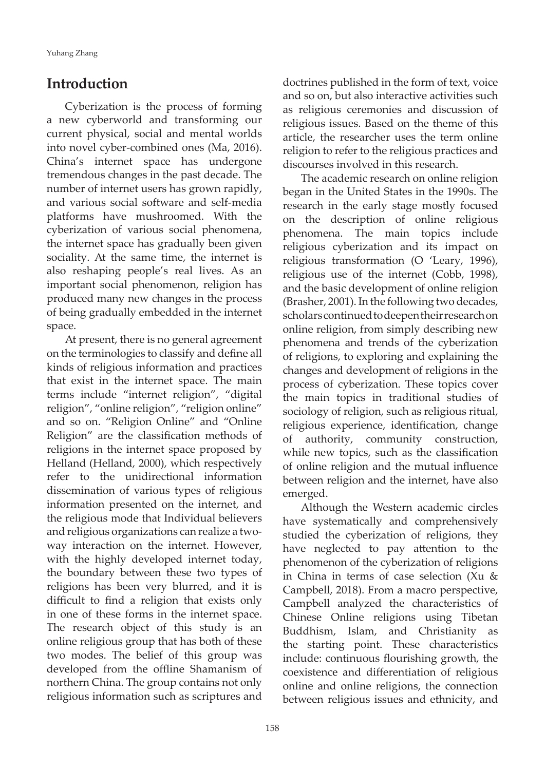Yuhang Zhang

### **Introduction**

Cyberization is the process of forming a new cyberworld and transforming our current physical, social and mental worlds into novel cyber-combined ones (Ma, 2016). China's internet space has undergone tremendous changes in the past decade. The number of internet users has grown rapidly, and various social software and self-media platforms have mushroomed. With the cyberization of various social phenomena, the internet space has gradually been given sociality. At the same time, the internet is also reshaping people's real lives. As an important social phenomenon, religion has produced many new changes in the process of being gradually embedded in the internet space.

At present, there is no general agreement on the terminologies to classify and define all kinds of religious information and practices that exist in the internet space. The main terms include "internet religion", "digital religion", "online religion", "religion online" and so on. "Religion Online" and "Online Religion" are the classification methods of religions in the internet space proposed by Helland (Helland, 2000), which respectively refer to the unidirectional information dissemination of various types of religious information presented on the internet, and the religious mode that Individual believers and religious organizations can realize a twoway interaction on the internet. However, with the highly developed internet today, the boundary between these two types of religions has been very blurred, and it is difficult to find a religion that exists only in one of these forms in the internet space. The research object of this study is an online religious group that has both of these two modes. The belief of this group was developed from the offline Shamanism of northern China. The group contains not only religious information such as scriptures and

doctrines published in the form of text, voice and so on, but also interactive activities such as religious ceremonies and discussion of religious issues. Based on the theme of this article, the researcher uses the term online religion to refer to the religious practices and discourses involved in this research.

The academic research on online religion began in the United States in the 1990s. The research in the early stage mostly focused on the description of online religious phenomena. The main topics include religious cyberization and its impact on religious transformation (O 'Leary, 1996), religious use of the internet (Cobb, 1998), and the basic development of online religion (Brasher, 2001). In the following two decades, scholars continued to deepen their research on online religion, from simply describing new phenomena and trends of the cyberization of religions, to exploring and explaining the changes and development of religions in the process of cyberization. These topics cover the main topics in traditional studies of sociology of religion, such as religious ritual, religious experience, identification, change of authority, community construction, while new topics, such as the classification of online religion and the mutual influence between religion and the internet, have also emerged.

Although the Western academic circles have systematically and comprehensively studied the cyberization of religions, they have neglected to pay attention to the phenomenon of the cyberization of religions in China in terms of case selection (Xu & Campbell, 2018). From a macro perspective, Campbell analyzed the characteristics of Chinese Online religions using Tibetan Buddhism, Islam, and Christianity as the starting point. These characteristics include: continuous flourishing growth, the coexistence and differentiation of religious online and online religions, the connection between religious issues and ethnicity, and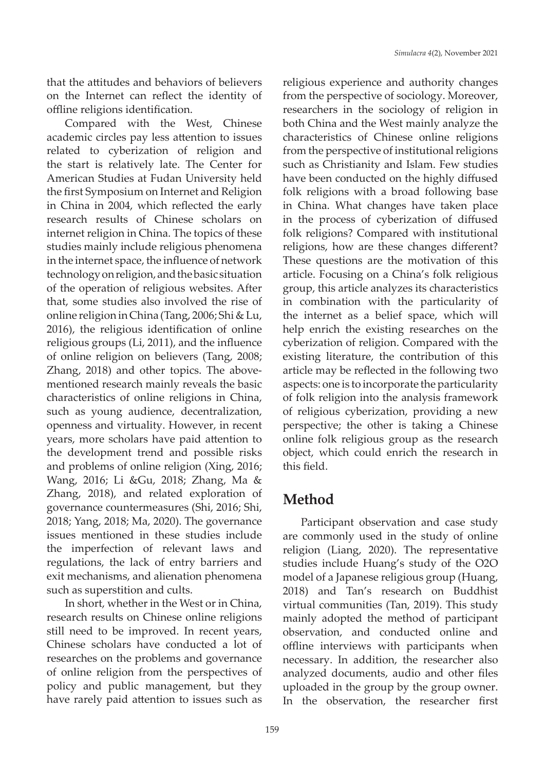that the attitudes and behaviors of believers on the Internet can reflect the identity of offline religions identification.

Compared with the West, Chinese academic circles pay less attention to issues related to cyberization of religion and the start is relatively late. The Center for American Studies at Fudan University held the first Symposium on Internet and Religion in China in 2004, which reflected the early research results of Chinese scholars on internet religion in China. The topics of these studies mainly include religious phenomena in the internet space, the influence of network technology on religion, and the basic situation of the operation of religious websites. After that, some studies also involved the rise of online religion in China (Tang, 2006; Shi & Lu, 2016), the religious identification of online religious groups (Li, 2011), and the influence of online religion on believers (Tang, 2008; Zhang, 2018) and other topics. The abovementioned research mainly reveals the basic characteristics of online religions in China, such as young audience, decentralization, openness and virtuality. However, in recent years, more scholars have paid attention to the development trend and possible risks and problems of online religion (Xing, 2016; Wang, 2016; Li &Gu, 2018; Zhang, Ma & Zhang, 2018), and related exploration of governance countermeasures (Shi, 2016; Shi, 2018; Yang, 2018; Ma, 2020). The governance issues mentioned in these studies include the imperfection of relevant laws and regulations, the lack of entry barriers and exit mechanisms, and alienation phenomena such as superstition and cults.

In short, whether in the West or in China, research results on Chinese online religions still need to be improved. In recent years, Chinese scholars have conducted a lot of researches on the problems and governance of online religion from the perspectives of policy and public management, but they have rarely paid attention to issues such as

religious experience and authority changes from the perspective of sociology. Moreover, researchers in the sociology of religion in both China and the West mainly analyze the characteristics of Chinese online religions from the perspective of institutional religions such as Christianity and Islam. Few studies have been conducted on the highly diffused folk religions with a broad following base in China. What changes have taken place in the process of cyberization of diffused folk religions? Compared with institutional religions, how are these changes different? These questions are the motivation of this article. Focusing on a China's folk religious group, this article analyzes its characteristics in combination with the particularity of the internet as a belief space, which will help enrich the existing researches on the cyberization of religion. Compared with the existing literature, the contribution of this article may be reflected in the following two aspects: one is to incorporate the particularity of folk religion into the analysis framework of religious cyberization, providing a new perspective; the other is taking a Chinese online folk religious group as the research object, which could enrich the research in this field.

### **Method**

Participant observation and case study are commonly used in the study of online religion (Liang, 2020). The representative studies include Huang's study of the O2O model of a Japanese religious group (Huang, 2018) and Tan's research on Buddhist virtual communities (Tan, 2019). This study mainly adopted the method of participant observation, and conducted online and offline interviews with participants when necessary. In addition, the researcher also analyzed documents, audio and other files uploaded in the group by the group owner. In the observation, the researcher first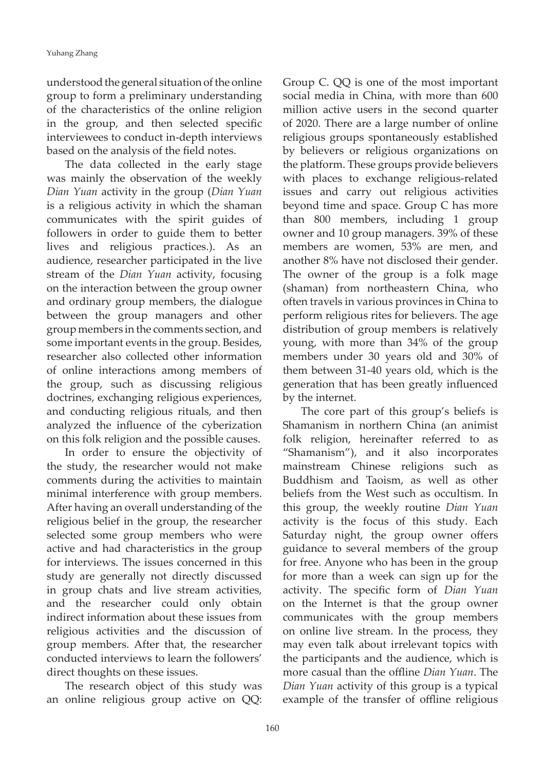understood the general situation of the online group to form a preliminary understanding of the characteristics of the online religion in the group, and then selected specific interviewees to conduct in-depth interviews based on the analysis of the field notes.

The data collected in the early stage was mainly the observation of the weekly *Dian Yuan* activity in the group (*Dian Yuan* is a religious activity in which the shaman communicates with the spirit guides of followers in order to guide them to better lives and religious practices.). As an audience, researcher participated in the live stream of the *Dian Yuan* activity, focusing on the interaction between the group owner and ordinary group members, the dialogue between the group managers and other group members in the comments section, and some important events in the group. Besides, researcher also collected other information of online interactions among members of the group, such as discussing religious doctrines, exchanging religious experiences, and conducting religious rituals, and then analyzed the influence of the cyberization on this folk religion and the possible causes.

In order to ensure the objectivity of the study, the researcher would not make comments during the activities to maintain minimal interference with group members. After having an overall understanding of the religious belief in the group, the researcher selected some group members who were active and had characteristics in the group for interviews. The issues concerned in this study are generally not directly discussed in group chats and live stream activities, and the researcher could only obtain indirect information about these issues from religious activities and the discussion of group members. After that, the researcher conducted interviews to learn the followers' direct thoughts on these issues.

The research object of this study was an online religious group active on QQ: Group C. QQ is one of the most important social media in China, with more than 600 million active users in the second quarter of 2020. There are a large number of online religious groups spontaneously established by believers or religious organizations on the platform. These groups provide believers with places to exchange religious-related issues and carry out religious activities beyond time and space. Group C has more than 800 members, including 1 group owner and 10 group managers. 39% of these members are women, 53% are men, and another 8% have not disclosed their gender. The owner of the group is a folk mage (shaman) from northeastern China, who often travels in various provinces in China to perform religious rites for believers. The age distribution of group members is relatively young, with more than 34% of the group members under 30 years old and 30% of them between 31-40 years old, which is the generation that has been greatly influenced by the internet.

The core part of this group's beliefs is Shamanism in northern China (an animist folk religion, hereinafter referred to as "Shamanism"), and it also incorporates mainstream Chinese religions such as Buddhism and Taoism, as well as other beliefs from the West such as occultism. In this group, the weekly routine *Dian Yuan* activity is the focus of this study. Each Saturday night, the group owner offers guidance to several members of the group for free. Anyone who has been in the group for more than a week can sign up for the activity. The specific form of *Dian Yuan* on the Internet is that the group owner communicates with the group members on online live stream. In the process, they may even talk about irrelevant topics with the participants and the audience, which is more casual than the offline *Dian Yuan*. The *Dian Yuan* activity of this group is a typical example of the transfer of offline religious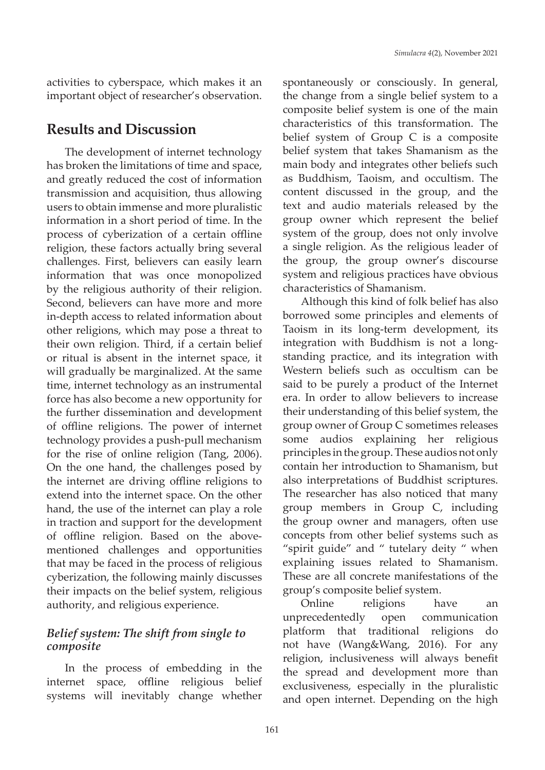activities to cyberspace, which makes it an important object of researcher's observation.

### **Results and Discussion**

The development of internet technology has broken the limitations of time and space, and greatly reduced the cost of information transmission and acquisition, thus allowing users to obtain immense and more pluralistic information in a short period of time. In the process of cyberization of a certain offline religion, these factors actually bring several challenges. First, believers can easily learn information that was once monopolized by the religious authority of their religion. Second, believers can have more and more in-depth access to related information about other religions, which may pose a threat to their own religion. Third, if a certain belief or ritual is absent in the internet space, it will gradually be marginalized. At the same time, internet technology as an instrumental force has also become a new opportunity for the further dissemination and development of offline religions. The power of internet technology provides a push-pull mechanism for the rise of online religion (Tang, 2006). On the one hand, the challenges posed by the internet are driving offline religions to extend into the internet space. On the other hand, the use of the internet can play a role in traction and support for the development of offline religion. Based on the abovementioned challenges and opportunities that may be faced in the process of religious cyberization, the following mainly discusses their impacts on the belief system, religious authority, and religious experience.

#### *Belief system: The shift from single to composite*

In the process of embedding in the internet space, offline religious belief systems will inevitably change whether

spontaneously or consciously. In general, the change from a single belief system to a composite belief system is one of the main characteristics of this transformation. The belief system of Group C is a composite belief system that takes Shamanism as the main body and integrates other beliefs such as Buddhism, Taoism, and occultism. The content discussed in the group, and the text and audio materials released by the group owner which represent the belief system of the group, does not only involve a single religion. As the religious leader of the group, the group owner's discourse system and religious practices have obvious characteristics of Shamanism.

Although this kind of folk belief has also borrowed some principles and elements of Taoism in its long-term development, its integration with Buddhism is not a longstanding practice, and its integration with Western beliefs such as occultism can be said to be purely a product of the Internet era. In order to allow believers to increase their understanding of this belief system, the group owner of Group C sometimes releases some audios explaining her religious principles in the group. These audios not only contain her introduction to Shamanism, but also interpretations of Buddhist scriptures. The researcher has also noticed that many group members in Group C, including the group owner and managers, often use concepts from other belief systems such as "spirit guide" and " tutelary deity " when explaining issues related to Shamanism. These are all concrete manifestations of the group's composite belief system.

Online religions have an unprecedentedly open communication platform that traditional religions do not have (Wang&Wang, 2016). For any religion, inclusiveness will always benefit the spread and development more than exclusiveness, especially in the pluralistic and open internet. Depending on the high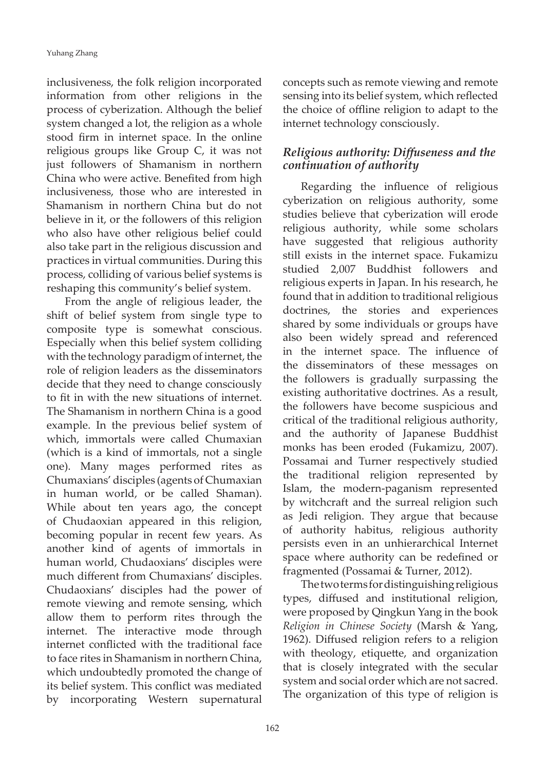inclusiveness, the folk religion incorporated information from other religions in the process of cyberization. Although the belief system changed a lot, the religion as a whole stood firm in internet space. In the online religious groups like Group C, it was not just followers of Shamanism in northern China who were active. Benefited from high inclusiveness, those who are interested in Shamanism in northern China but do not believe in it, or the followers of this religion who also have other religious belief could also take part in the religious discussion and practices in virtual communities. During this process, colliding of various belief systems is reshaping this community's belief system.

From the angle of religious leader, the shift of belief system from single type to composite type is somewhat conscious. Especially when this belief system colliding with the technology paradigm of internet, the role of religion leaders as the disseminators decide that they need to change consciously to fit in with the new situations of internet. The Shamanism in northern China is a good example. In the previous belief system of which, immortals were called Chumaxian (which is a kind of immortals, not a single one). Many mages performed rites as Chumaxians' disciples (agents of Chumaxian in human world, or be called Shaman). While about ten years ago, the concept of Chudaoxian appeared in this religion, becoming popular in recent few years. As another kind of agents of immortals in human world, Chudaoxians' disciples were much different from Chumaxians' disciples. Chudaoxians' disciples had the power of remote viewing and remote sensing, which allow them to perform rites through the internet. The interactive mode through internet conflicted with the traditional face to face rites in Shamanism in northern China, which undoubtedly promoted the change of its belief system. This conflict was mediated by incorporating Western supernatural

concepts such as remote viewing and remote sensing into its belief system, which reflected the choice of offline religion to adapt to the internet technology consciously.

#### *Religious authority: Diffuseness and the continuation of authority*

Regarding the influence of religious cyberization on religious authority, some studies believe that cyberization will erode religious authority, while some scholars have suggested that religious authority still exists in the internet space. Fukamizu studied 2,007 Buddhist followers and religious experts in Japan. In his research, he found that in addition to traditional religious doctrines, the stories and experiences shared by some individuals or groups have also been widely spread and referenced in the internet space. The influence of the disseminators of these messages on the followers is gradually surpassing the existing authoritative doctrines. As a result, the followers have become suspicious and critical of the traditional religious authority, and the authority of Japanese Buddhist monks has been eroded (Fukamizu, 2007). Possamai and Turner respectively studied the traditional religion represented by Islam, the modern-paganism represented by witchcraft and the surreal religion such as Jedi religion. They argue that because of authority habitus, religious authority persists even in an unhierarchical Internet space where authority can be redefined or fragmented (Possamai & Turner, 2012).

The two terms for distinguishing religious types, diffused and institutional religion, were proposed by Qingkun Yang in the book *Religion in Chinese Society* (Marsh & Yang, 1962). Diffused religion refers to a religion with theology, etiquette, and organization that is closely integrated with the secular system and social order which are not sacred. The organization of this type of religion is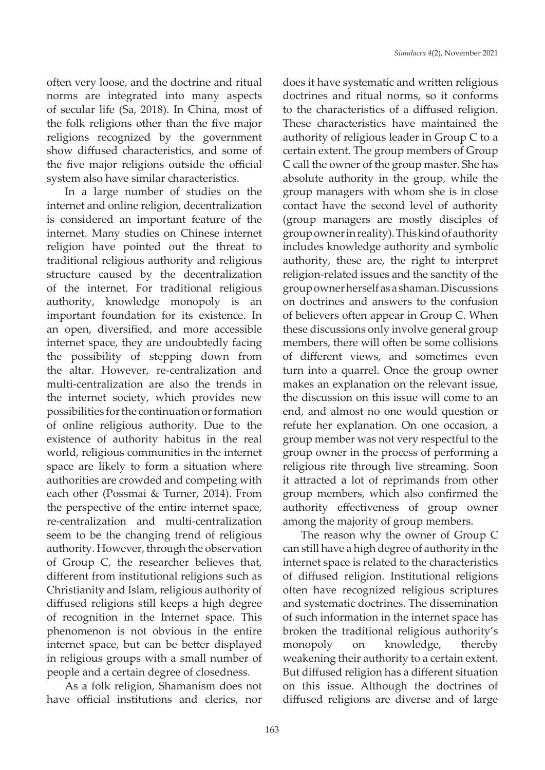often very loose, and the doctrine and ritual norms are integrated into many aspects of secular life (Sa, 2018). In China, most of the folk religions other than the five major religions recognized by the government show diffused characteristics, and some of the five major religions outside the official system also have similar characteristics.

In a large number of studies on the internet and online religion, decentralization is considered an important feature of the internet. Many studies on Chinese internet religion have pointed out the threat to traditional religious authority and religious structure caused by the decentralization of the internet. For traditional religious authority, knowledge monopoly is an important foundation for its existence. In an open, diversified, and more accessible internet space, they are undoubtedly facing the possibility of stepping down from the altar. However, re-centralization and multi-centralization are also the trends in the internet society, which provides new possibilities for the continuation or formation of online religious authority. Due to the existence of authority habitus in the real world, religious communities in the internet space are likely to form a situation where authorities are crowded and competing with each other (Possmai & Turner, 2014). From the perspective of the entire internet space, re-centralization and multi-centralization seem to be the changing trend of religious authority. However, through the observation of Group C, the researcher believes that, different from institutional religions such as Christianity and Islam, religious authority of diffused religions still keeps a high degree of recognition in the Internet space. This phenomenon is not obvious in the entire internet space, but can be better displayed in religious groups with a small number of people and a certain degree of closedness.

As a folk religion, Shamanism does not have official institutions and clerics, nor

does it have systematic and written religious doctrines and ritual norms, so it conforms to the characteristics of a diffused religion. These characteristics have maintained the authority of religious leader in Group C to a certain extent. The group members of Group C call the owner of the group master. She has absolute authority in the group, while the group managers with whom she is in close contact have the second level of authority (group managers are mostly disciples of group owner in reality). This kind of authority includes knowledge authority and symbolic authority, these are, the right to interpret religion-related issues and the sanctity of the group owner herself as a shaman. Discussions on doctrines and answers to the confusion of believers often appear in Group C. When these discussions only involve general group members, there will often be some collisions of different views, and sometimes even turn into a quarrel. Once the group owner makes an explanation on the relevant issue, the discussion on this issue will come to an end, and almost no one would question or refute her explanation. On one occasion, a group member was not very respectful to the group owner in the process of performing a religious rite through live streaming. Soon it attracted a lot of reprimands from other group members, which also confirmed the authority effectiveness of group owner among the majority of group members.

The reason why the owner of Group C can still have a high degree of authority in the internet space is related to the characteristics of diffused religion. Institutional religions often have recognized religious scriptures and systematic doctrines. The dissemination of such information in the internet space has broken the traditional religious authority's monopoly on knowledge, thereby weakening their authority to a certain extent. But diffused religion has a different situation on this issue. Although the doctrines of diffused religions are diverse and of large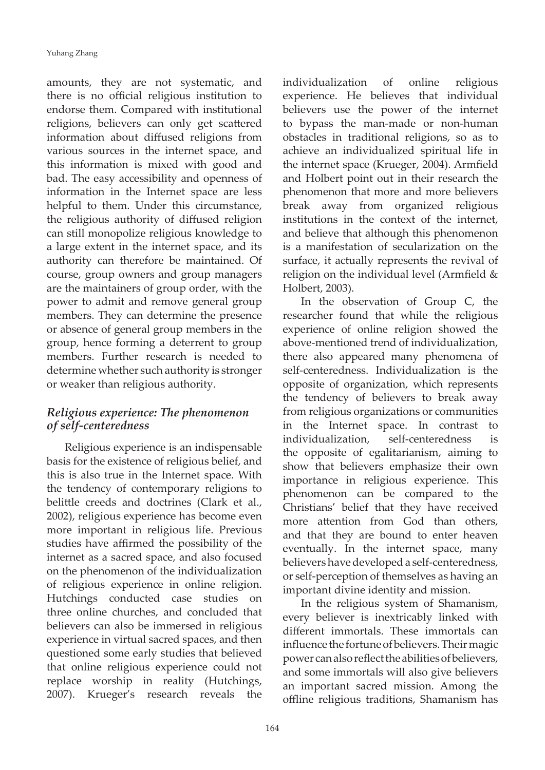amounts, they are not systematic, and there is no official religious institution to endorse them. Compared with institutional religions, believers can only get scattered information about diffused religions from various sources in the internet space, and this information is mixed with good and bad. The easy accessibility and openness of information in the Internet space are less helpful to them. Under this circumstance, the religious authority of diffused religion can still monopolize religious knowledge to a large extent in the internet space, and its authority can therefore be maintained. Of course, group owners and group managers are the maintainers of group order, with the power to admit and remove general group members. They can determine the presence or absence of general group members in the group, hence forming a deterrent to group members. Further research is needed to determine whether such authority is stronger or weaker than religious authority.

#### *Religious experience: The phenomenon of self-centeredness*

Religious experience is an indispensable basis for the existence of religious belief, and this is also true in the Internet space. With the tendency of contemporary religions to belittle creeds and doctrines (Clark et al., 2002), religious experience has become even more important in religious life. Previous studies have affirmed the possibility of the internet as a sacred space, and also focused on the phenomenon of the individualization of religious experience in online religion. Hutchings conducted case studies on three online churches, and concluded that believers can also be immersed in religious experience in virtual sacred spaces, and then questioned some early studies that believed that online religious experience could not replace worship in reality (Hutchings, 2007). Krueger's research reveals the

individualization of online religious experience. He believes that individual believers use the power of the internet to bypass the man-made or non-human obstacles in traditional religions, so as to achieve an individualized spiritual life in the internet space (Krueger, 2004). Armfield and Holbert point out in their research the phenomenon that more and more believers break away from organized religious institutions in the context of the internet, and believe that although this phenomenon is a manifestation of secularization on the surface, it actually represents the revival of religion on the individual level (Armfield & Holbert, 2003).

In the observation of Group C, the researcher found that while the religious experience of online religion showed the above-mentioned trend of individualization, there also appeared many phenomena of self-centeredness. Individualization is the opposite of organization, which represents the tendency of believers to break away from religious organizations or communities in the Internet space. In contrast to individualization, self-centeredness is the opposite of egalitarianism, aiming to show that believers emphasize their own importance in religious experience. This phenomenon can be compared to the Christians' belief that they have received more attention from God than others, and that they are bound to enter heaven eventually. In the internet space, many believers have developed a self-centeredness, or self-perception of themselves as having an important divine identity and mission.

In the religious system of Shamanism, every believer is inextricably linked with different immortals. These immortals can influence the fortune of believers. Their magic power can also reflect the abilities of believers, and some immortals will also give believers an important sacred mission. Among the offline religious traditions, Shamanism has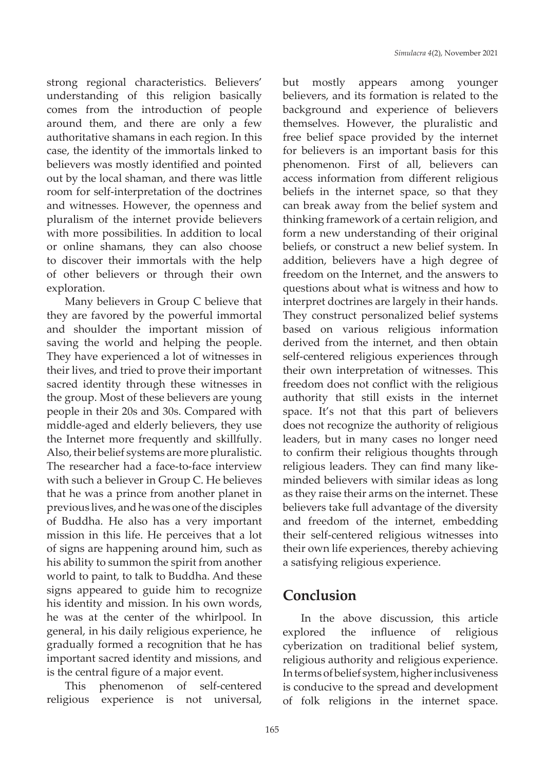strong regional characteristics. Believers' understanding of this religion basically comes from the introduction of people around them, and there are only a few authoritative shamans in each region. In this case, the identity of the immortals linked to believers was mostly identified and pointed out by the local shaman, and there was little room for self-interpretation of the doctrines and witnesses. However, the openness and pluralism of the internet provide believers with more possibilities. In addition to local or online shamans, they can also choose to discover their immortals with the help of other believers or through their own exploration.

Many believers in Group C believe that they are favored by the powerful immortal and shoulder the important mission of saving the world and helping the people. They have experienced a lot of witnesses in their lives, and tried to prove their important sacred identity through these witnesses in the group. Most of these believers are young people in their 20s and 30s. Compared with middle-aged and elderly believers, they use the Internet more frequently and skillfully. Also, their belief systems are more pluralistic. The researcher had a face-to-face interview with such a believer in Group C. He believes that he was a prince from another planet in previous lives, and he was one of the disciples of Buddha. He also has a very important mission in this life. He perceives that a lot of signs are happening around him, such as his ability to summon the spirit from another world to paint, to talk to Buddha. And these signs appeared to guide him to recognize his identity and mission. In his own words, he was at the center of the whirlpool. In general, in his daily religious experience, he gradually formed a recognition that he has important sacred identity and missions, and is the central figure of a major event.

This phenomenon of self-centered religious experience is not universal,

but mostly appears among younger believers, and its formation is related to the background and experience of believers themselves. However, the pluralistic and free belief space provided by the internet for believers is an important basis for this phenomenon. First of all, believers can access information from different religious beliefs in the internet space, so that they can break away from the belief system and thinking framework of a certain religion, and form a new understanding of their original beliefs, or construct a new belief system. In addition, believers have a high degree of freedom on the Internet, and the answers to questions about what is witness and how to interpret doctrines are largely in their hands. They construct personalized belief systems based on various religious information derived from the internet, and then obtain self-centered religious experiences through their own interpretation of witnesses. This freedom does not conflict with the religious authority that still exists in the internet space. It's not that this part of believers does not recognize the authority of religious leaders, but in many cases no longer need to confirm their religious thoughts through religious leaders. They can find many likeminded believers with similar ideas as long as they raise their arms on the internet. These believers take full advantage of the diversity and freedom of the internet, embedding their self-centered religious witnesses into their own life experiences, thereby achieving a satisfying religious experience.

### **Conclusion**

In the above discussion, this article explored the influence of religious cyberization on traditional belief system, religious authority and religious experience. In terms of belief system, higher inclusiveness is conducive to the spread and development of folk religions in the internet space.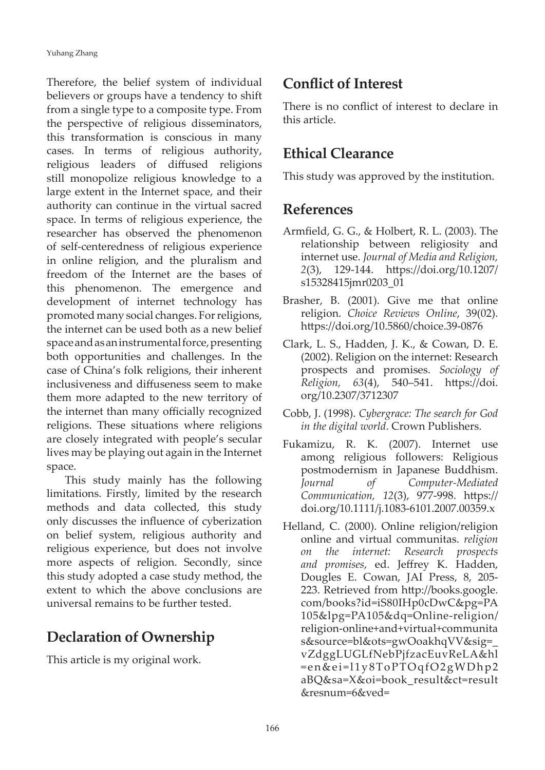Therefore, the belief system of individual believers or groups have a tendency to shift from a single type to a composite type. From the perspective of religious disseminators, this transformation is conscious in many cases. In terms of religious authority, religious leaders of diffused religions still monopolize religious knowledge to a large extent in the Internet space, and their authority can continue in the virtual sacred space. In terms of religious experience, the researcher has observed the phenomenon of self-centeredness of religious experience in online religion, and the pluralism and freedom of the Internet are the bases of this phenomenon. The emergence and development of internet technology has promoted many social changes. For religions, the internet can be used both as a new belief space and as an instrumental force, presenting both opportunities and challenges. In the case of China's folk religions, their inherent inclusiveness and diffuseness seem to make them more adapted to the new territory of the internet than many officially recognized religions. These situations where religions are closely integrated with people's secular lives may be playing out again in the Internet space.

This study mainly has the following limitations. Firstly, limited by the research methods and data collected, this study only discusses the influence of cyberization on belief system, religious authority and religious experience, but does not involve more aspects of religion. Secondly, since this study adopted a case study method, the extent to which the above conclusions are universal remains to be further tested.

### **Declaration of Ownership**

This article is my original work.

### **Conflict of Interest**

There is no conflict of interest to declare in this article.

## **Ethical Clearance**

This study was approved by the institution.

### **References**

- Armfield, G. G., & Holbert, R. L. (2003). The relationship between religiosity and internet use. *Journal of Media and Religion, 2*(3), 129-144. https://doi.org/10.1207/ s15328415jmr0203\_01
- Brasher, B. (2001). Give me that online religion. *Choice Reviews Online*, 39(02). https://doi.org/10.5860/choice.39-0876
- Clark, L. S., Hadden, J. K., & Cowan, D. E. (2002). Religion on the internet: Research prospects and promises. *Sociology of Religion, 63*(4), 540–541. https://doi. org/10.2307/3712307
- Cobb, J. (1998). *Cybergrace: The search for God in the digital world*. Crown Publishers.
- Fukamizu, R. K. (2007). Internet use among religious followers: Religious postmodernism in Japanese Buddhism. *Journal of Computer-Mediated Communication, 12*(3), 977-998. https:// doi.org/10.1111/j.1083-6101.2007.00359.x
- Helland, C. (2000). Online religion/religion online and virtual communitas. *religion on the internet: Research prospects and promises*, ed. Jeffrey K. Hadden, Dougles E. Cowan, JAI Press, 8, 205- 223. Retrieved from http://books.google. com/books?id=iS80IHp0cDwC&pg=PA 105&lpg=PA105&dq=Online-religion/ religion-online+and+virtual+communita s&source=bl&ots=gwOoakhqVV&sig=\_ vZdggLUGLfNebPjfzacEuvReLA&hl = e n & e i = l 1 y 8 T o P T O q f O 2 g W D h p 2 aBQ&sa=X&oi=book\_result&ct=result &resnum=6&ved=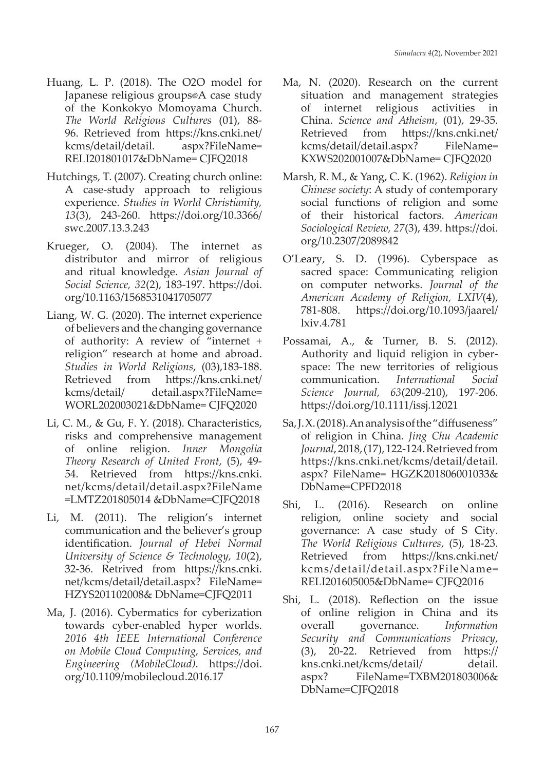- Huang, L. P. (2018). The O2O model for Japanese religious groups®A case study of the Konkokyo Momoyama Church. *The World Religious Cultures* (01), 88- 96. Retrieved from https://kns.cnki.net/ kcms/detail/detail. aspx?FileName= RELI201801017&DbName= CJFQ2018
- Hutchings, T. (2007). Creating church online: A case-study approach to religious experience. *Studies in World Christianity, 13*(3), 243-260. https://doi.org/10.3366/ swc.2007.13.3.243
- Krueger, O. (2004). The internet as distributor and mirror of religious and ritual knowledge. *Asian Journal of Social Science, 32*(2), 183-197. https://doi. org/10.1163/1568531041705077
- Liang, W. G. (2020). The internet experience of believers and the changing governance of authority: A review of "internet + religion" research at home and abroad. *Studies in World Religions*, (03),183-188. Retrieved from https://kns.cnki.net/ kcms/detail/ detail.aspx?FileName= WORL202003021&DbName= CJFQ2020
- Li, C. M., & Gu, F. Y. (2018). Characteristics, risks and comprehensive management of online religion. *Inner Mongolia Theory Research of United Front*, (5), 49- 54. Retrieved from https://kns.cnki. net/kcms/detail/detail.aspx?FileName =LMTZ201805014 &DbName=CJFQ2018
- Li, M. (2011). The religion's internet communication and the believer's group identification. *Journal of Hebei Normal University of Science & Technology, 10*(2), 32-36. Retrived from https://kns.cnki. net/kcms/detail/detail.aspx? FileName= HZYS201102008& DbName=CJFQ2011
- Ma, J. (2016). Cybermatics for cyberization towards cyber-enabled hyper worlds. *2016 4th IEEE International Conference on Mobile Cloud Computing, Services, and Engineering (MobileCloud)*. https://doi. org/10.1109/mobilecloud.2016.17
- Ma, N. (2020). Research on the current situation and management strategies of internet religious activities in China. *Science and Atheism*, (01), 29-35. Retrieved from https://kns.cnki.net/ kcms/detail/detail.aspx? FileName= KXWS202001007&DbName= CJFQ2020
- Marsh, R. M., & Yang, C. K. (1962). *Religion in Chinese society*: A study of contemporary social functions of religion and some of their historical factors. *American Sociological Review, 27*(3), 439. https://doi. org/10.2307/2089842
- O'Leary, S. D. (1996). Cyberspace as sacred space: Communicating religion on computer networks. *Journal of the American Academy of Religion, LXIV*(4), 781-808. https://doi.org/10.1093/jaarel/ lxiv.4.781
- Possamai, A., & Turner, B. S. (2012). Authority and liquid religion in cyberspace: The new territories of religious communication. *International Social Science Journal, 63*(209-210), 197-206. https://doi.org/10.1111/issj.12021
- Sa, J. X. (2018). An analysis of the "diffuseness" of religion in China. *Jing Chu Academic Journal*, 2018, (17), 122-124. Retrieved from https://kns.cnki.net/kcms/detail/detail. aspx? FileName= HGZK201806001033& DbName=CPFD2018
- Shi, L. (2016). Research on online religion, online society and social governance: A case study of S City. *The World Religious Cultures*, (5), 18-23. Retrieved from https://kns.cnki.net/ kcms/detail/detail.aspx?FileName= RELI201605005&DbName= CJFQ2016
- Shi, L. (2018). Reflection on the issue of online religion in China and its overall governance. *Information Security and Communications Privacy*, (3), 20-22. Retrieved from https:// kns.cnki.net/kcms/detail/ detail. aspx? FileName=TXBM201803006& DbName=CJFQ2018